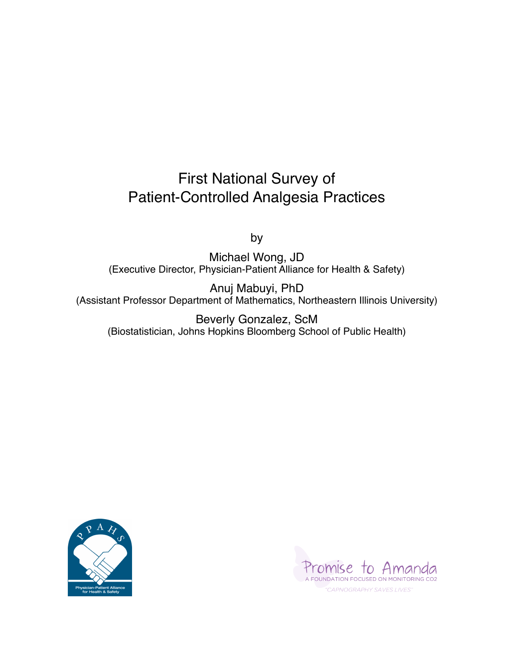# First National Survey of Patient-Controlled Analgesia Practices

by

Michael Wong, JD (Executive Director, Physician-Patient Alliance for Health & Safety)

Anuj Mabuyi, PhD (Assistant Professor Department of Mathematics, Northeastern Illinois University)

Beverly Gonzalez, ScM (Biostatistician, Johns Hopkins Bloomberg School of Public Health)



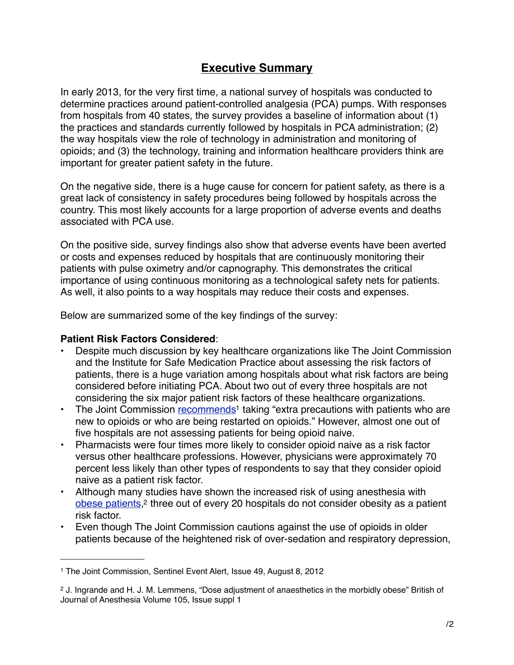# **Executive Summary**

In early 2013, for the very first time, a national survey of hospitals was conducted to determine practices around patient-controlled analgesia (PCA) pumps. With responses from hospitals from 40 states, the survey provides a baseline of information about (1) the practices and standards currently followed by hospitals in PCA administration; (2) the way hospitals view the role of technology in administration and monitoring of opioids; and (3) the technology, training and information healthcare providers think are important for greater patient safety in the future.

On the negative side, there is a huge cause for concern for patient safety, as there is a great lack of consistency in safety procedures being followed by hospitals across the country. This most likely accounts for a large proportion of adverse events and deaths associated with PCA use.

On the positive side, survey findings also show that adverse events have been averted or costs and expenses reduced by hospitals that are continuously monitoring their patients with pulse oximetry and/or capnography. This demonstrates the critical importance of using continuous monitoring as a technological safety nets for patients. As well, it also points to a way hospitals may reduce their costs and expenses.

Below are summarized some of the key findings of the survey:

#### **Patient Risk Factors Considered**:

- Despite much discussion by key healthcare organizations like The Joint Commission and the Institute for Safe Medication Practice about assessing the risk factors of patients, there is a huge variation among hospitals about what risk factors are being considered before initiating PCA. About two out of every three hospitals are not considering the six major patient risk factors of these healthcare organizations.
- The Joint Commission [recommends](http://www.jointcommission.org/assets/1/18/SEA_49_opioids_8_2_12_final.pdf)<sup>1</sup> taking "extra precautions with patients who are new to opioids or who are being restarted on opioids." However, almost one out of five hospitals are not assessing patients for being opioid naive.
- Pharmacists were four times more likely to consider opioid naive as a risk factor versus other healthcare professions. However, physicians were approximately 70 percent less likely than other types of respondents to say that they consider opioid naive as a patient risk factor.
- Although many studies have shown the increased risk of using anesthesia with [obese patients](http://bja.oxfordjournals.org/content/105/suppl_1/i16.long), [2](#page-1-1) three out of every 20 hospitals do not consider obesity as a patient risk factor.
- Even though The Joint Commission cautions against the use of opioids in older patients because of the heightened risk of over-sedation and respiratory depression,

<span id="page-1-0"></span><sup>1</sup> The Joint Commission, Sentinel Event Alert, Issue 49, August 8, 2012

<span id="page-1-1"></span><sup>2</sup> J. Ingrande and H. J. M. Lemmens, "Dose adjustment of anaesthetics in the morbidly obese" British of Journal of Anesthesia Volume 105, Issue suppl 1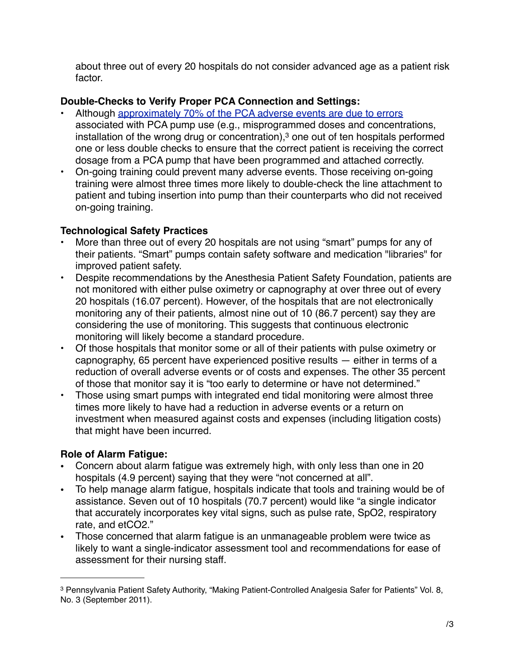about three out of every 20 hospitals do not consider advanced age as a patient risk factor.

### **Double-Checks to Verify Proper PCA Connection and Settings:**

- Although [approximately 70% of the PCA adverse events are due to errors](http://patientsafetyauthority.org/ADVISORIES/AdvisoryLibrary/2011/sep8(3)/Pages/94.aspx) associated with PCA pump use (e.g., misprogrammed doses and concentrations, installation of the wrong drug or concentration), $3$  one out of ten hospitals performed one or less double checks to ensure that the correct patient is receiving the correct dosage from a PCA pump that have been programmed and attached correctly.
- On-going training could prevent many adverse events. Those receiving on-going training were almost three times more likely to double-check the line attachment to patient and tubing insertion into pump than their counterparts who did not received on-going training.

### **Technological Safety Practices**

- More than three out of every 20 hospitals are not using "smart" pumps for any of their patients. "Smart" pumps contain safety software and medication "libraries" for improved patient safety.
- Despite recommendations by the Anesthesia Patient Safety Foundation, patients are not monitored with either pulse oximetry or capnography at over three out of every 20 hospitals (16.07 percent). However, of the hospitals that are not electronically monitoring any of their patients, almost nine out of 10 (86.7 percent) say they are considering the use of monitoring. This suggests that continuous electronic monitoring will likely become a standard procedure.
- Of those hospitals that monitor some or all of their patients with pulse oximetry or capnography, 65 percent have experienced positive results — either in terms of a reduction of overall adverse events or of costs and expenses. The other 35 percent of those that monitor say it is "too early to determine or have not determined."
- Those using smart pumps with integrated end tidal monitoring were almost three times more likely to have had a reduction in adverse events or a return on investment when measured against costs and expenses (including litigation costs) that might have been incurred.

# **Role of Alarm Fatigue:**

- Concern about alarm fatigue was extremely high, with only less than one in 20 hospitals (4.9 percent) saying that they were "not concerned at all".
- To help manage alarm fatigue, hospitals indicate that tools and training would be of assistance. Seven out of 10 hospitals (70.7 percent) would like "a single indicator that accurately incorporates key vital signs, such as pulse rate, SpO2, respiratory rate, and etCO2."
- Those concerned that alarm fatigue is an unmanageable problem were twice as likely to want a single-indicator assessment tool and recommendations for ease of assessment for their nursing staff.

<span id="page-2-0"></span><sup>3</sup> Pennsylvania Patient Safety Authority, "Making Patient-Controlled Analgesia Safer for Patients" Vol. 8, No. 3 (September 2011).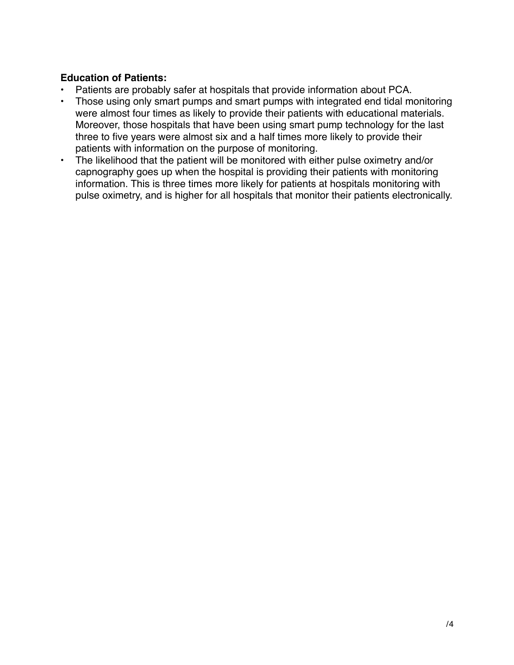#### **Education of Patients:**

- Patients are probably safer at hospitals that provide information about PCA.
- Those using only smart pumps and smart pumps with integrated end tidal monitoring were almost four times as likely to provide their patients with educational materials. Moreover, those hospitals that have been using smart pump technology for the last three to five years were almost six and a half times more likely to provide their patients with information on the purpose of monitoring.
- The likelihood that the patient will be monitored with either pulse oximetry and/or capnography goes up when the hospital is providing their patients with monitoring information. This is three times more likely for patients at hospitals monitoring with pulse oximetry, and is higher for all hospitals that monitor their patients electronically.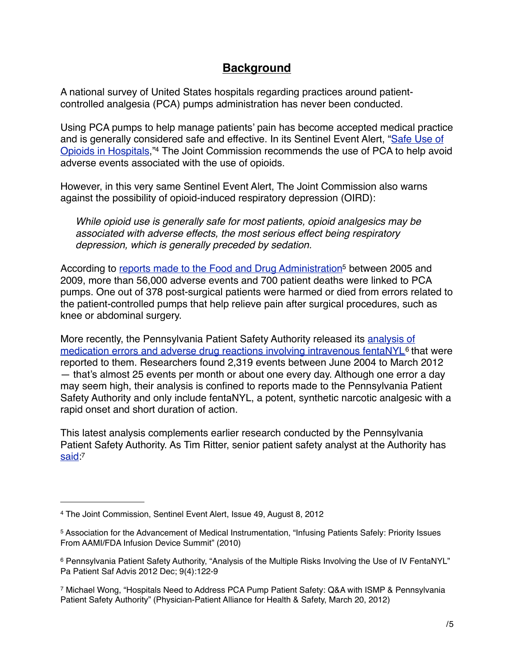## **Background**

A national survey of United States hospitals regarding practices around patientcontrolled analgesia (PCA) pumps administration has never been conducted.

Using PCA pumps to help manage patients' pain has become accepted medical practice and is generally considered safe and effective. In its Sentinel Event Alert, ["Safe Use of](http://www.jointcommission.org/assets/1/18/SEA_49_opioids_8_2_12_final.pdf)  [Opioids in Hospitals](http://www.jointcommission.org/assets/1/18/SEA_49_opioids_8_2_12_final.pdf),["4](#page-4-0) The Joint Commission recommends the use of PCA to help avoid adverse events associated with the use of opioids.

However, in this very same Sentinel Event Alert, The Joint Commission also warns against the possibility of opioid-induced respiratory depression (OIRD):

*While opioid use is generally safe for most patients, opioid analgesics may be associated with adverse effects, the most serious effect being respiratory depression, which is generally preceded by sedation.*

According to [reports made to the Food and Drug Administration](http://www.aami.org/htsi/infusion/summit/AAMI_FDA_Summit_Report.pdf)[5](#page-4-1) between 2005 and 2009, more than 56,000 adverse events and 700 patient deaths were linked to PCA pumps. One out of 378 post-surgical patients were harmed or died from errors related to the patient-controlled pumps that help relieve pain after surgical procedures, such as knee or abdominal surgery.

More recently, the Pennsylvania Patient Safety Authority released its [analysis of](http://patientsafetyauthority.org/ADVISORIES/AdvisoryLibrary/2012/Dec;9(4)/Pages/122.aspx)  [medication errors and adverse drug reactions involving intravenous fentaNYL](http://patientsafetyauthority.org/ADVISORIES/AdvisoryLibrary/2012/Dec;9(4)/Pages/122.aspx)<sup>6</sup> that were reported to them. Researchers found 2,319 events between June 2004 to March 2012 — that's almost 25 events per month or about one every day. Although one error a day may seem high, their analysis is confined to reports made to the Pennsylvania Patient Safety Authority and only include fentaNYL, a potent, synthetic narcotic analgesic with a rapid onset and short duration of action.

This latest analysis complements earlier research conducted by the Pennsylvania Patient Safety Authority. As Tim Ritter, senior patient safety analyst at the Authority has [said](http://ppahs.org/2012/03/20/physician-patient-alliance-for-health-safety-hospitals-need-to-address-pca-pump-patient-safety/): [7](#page-4-3)

<span id="page-4-0"></span><sup>4</sup> The Joint Commission, Sentinel Event Alert, Issue 49, August 8, 2012

<span id="page-4-1"></span><sup>5</sup> Association for the Advancement of Medical Instrumentation, "Infusing Patients Safely: Priority Issues From AAMI/FDA Infusion Device Summit" (2010)

<span id="page-4-2"></span><sup>6</sup> Pennsylvania Patient Safety Authority, "Analysis of the Multiple Risks Involving the Use of IV FentaNYL" Pa Patient Saf Advis 2012 Dec; 9(4):122-9

<span id="page-4-3"></span><sup>7</sup> Michael Wong, "Hospitals Need to Address PCA Pump Patient Safety: Q&A with ISMP & Pennsylvania Patient Safety Authority" (Physician-Patient Alliance for Health & Safety, March 20, 2012)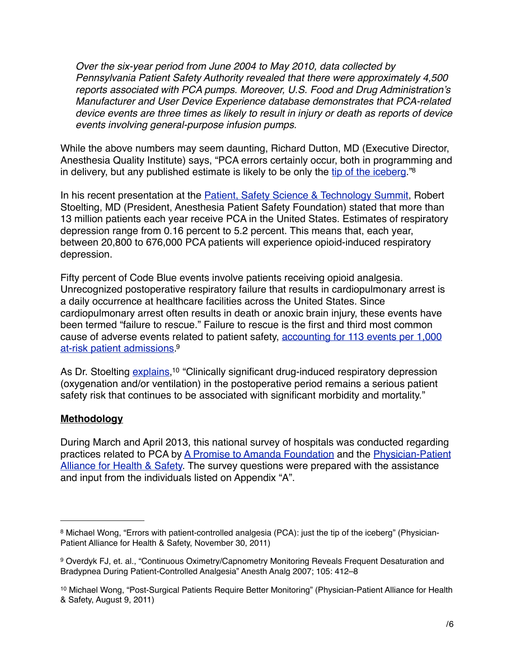*Over the six-year period from June 2004 to May 2010, data collected by Pennsylvania Patient Safety Authority revealed that there were approximately 4,500 reports associated with PCA pumps. Moreover, U.S. Food and Drug Administration's Manufacturer and User Device Experience database demonstrates that PCA-related device events are three times as likely to result in injury or death as reports of device events involving general-purpose infusion pumps.*

While the above numbers may seem daunting, Richard Dutton, MD (Executive Director, Anesthesia Quality Institute) says, "PCA errors certainly occur, both in programming and in delivery, but any published estimate is likely to be only the [tip of the iceberg](http://ppahs.org/2011/11/30/errors-with-patient-controlled-analgesia-pca-just-the-tip-of-the-iceberg/)."<sup>8</sup>

In his recent presentation at the [Patient, Safety Science & Technology Summit,](http://www.patientsafetysummit.org/2013/) Robert Stoelting, MD (President, Anesthesia Patient Safety Foundation) stated that more than 13 million patients each year receive PCA in the United States. Estimates of respiratory depression range from 0.16 percent to 5.2 percent. This means that, each year, between 20,800 to 676,000 PCA patients will experience opioid-induced respiratory depression.

Fifty percent of Code Blue events involve patients receiving opioid analgesia. Unrecognized postoperative respiratory failure that results in cardiopulmonary arrest is a daily occurrence at healthcare facilities across the United States. Since cardiopulmonary arrest often results in death or anoxic brain injury, these events have been termed "failure to rescue." Failure to rescue is the first and third most common cause of adverse events related to patient safety, [accounting for 113 events per 1,000](http://jvsmedicscorner.com/Anaesth-Post_Anesth_Management_files/Desaturation%20and%20PCA.pdf)  [at-risk patient admissions](http://jvsmedicscorner.com/Anaesth-Post_Anesth_Management_files/Desaturation%20and%20PCA.pdf). [9](#page-5-1)

As Dr. Stoelting [explains](http://ppahs.org/2011/08/09/post-surgical-patients-require-better-monitoring-for-improved-patient-safety-anesthesia-patient-safety-foundation-guidelines-recommend-using-capnography-and-oximetry-to-continuously-monitor-patients/),<sup>[10](#page-5-2)</sup> "Clinically significant drug-induced respiratory depression (oxygenation and/or ventilation) in the postoperative period remains a serious patient safety risk that continues to be associated with significant morbidity and mortality."

#### **Methodology**

During March and April 2013, this national survey of hospitals was conducted regarding practices related to PCA by [A Promise to Amanda Foundation](http://promisetoamanda.org) and the [Physician-Patient](http://ppahs.org)  [Alliance for Health & Safety](http://ppahs.org). The survey questions were prepared with the assistance and input from the individuals listed on Appendix "A".

<span id="page-5-0"></span><sup>8</sup> Michael Wong, "Errors with patient-controlled analgesia (PCA): just the tip of the iceberg" (Physician-Patient Alliance for Health & Safety, November 30, 2011)

<span id="page-5-1"></span><sup>9</sup> Overdyk FJ, et. al., "Continuous Oximetry/Capnometry Monitoring Reveals Frequent Desaturation and Bradypnea During Patient-Controlled Analgesia" Anesth Analg 2007; 105: 412–8

<span id="page-5-2"></span><sup>10</sup> Michael Wong, "Post-Surgical Patients Require Better Monitoring" (Physician-Patient Alliance for Health & Safety, August 9, 2011)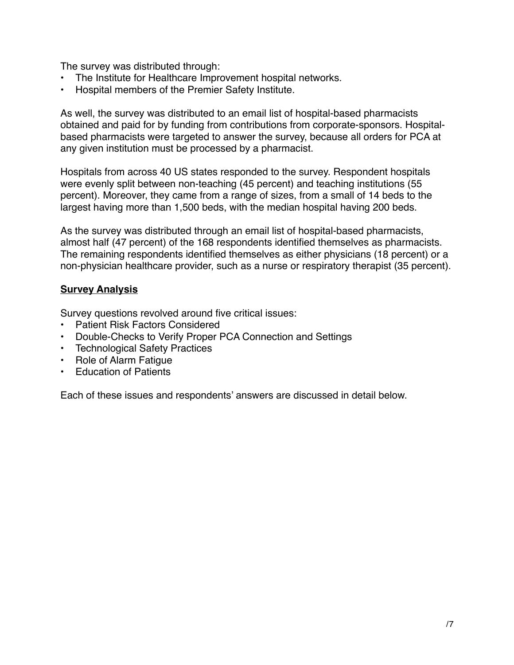The survey was distributed through:

- The Institute for Healthcare Improvement hospital networks.
- Hospital members of the Premier Safety Institute.

As well, the survey was distributed to an email list of hospital-based pharmacists obtained and paid for by funding from contributions from corporate-sponsors. Hospitalbased pharmacists were targeted to answer the survey, because all orders for PCA at any given institution must be processed by a pharmacist.

Hospitals from across 40 US states responded to the survey. Respondent hospitals were evenly split between non-teaching (45 percent) and teaching institutions (55 percent). Moreover, they came from a range of sizes, from a small of 14 beds to the largest having more than 1,500 beds, with the median hospital having 200 beds.

As the survey was distributed through an email list of hospital-based pharmacists, almost half (47 percent) of the 168 respondents identified themselves as pharmacists. The remaining respondents identified themselves as either physicians (18 percent) or a non-physician healthcare provider, such as a nurse or respiratory therapist (35 percent).

#### **Survey Analysis**

Survey questions revolved around five critical issues:

- Patient Risk Factors Considered
- Double-Checks to Verify Proper PCA Connection and Settings
- Technological Safety Practices
- Role of Alarm Fatigue
- Education of Patients

Each of these issues and respondents' answers are discussed in detail below.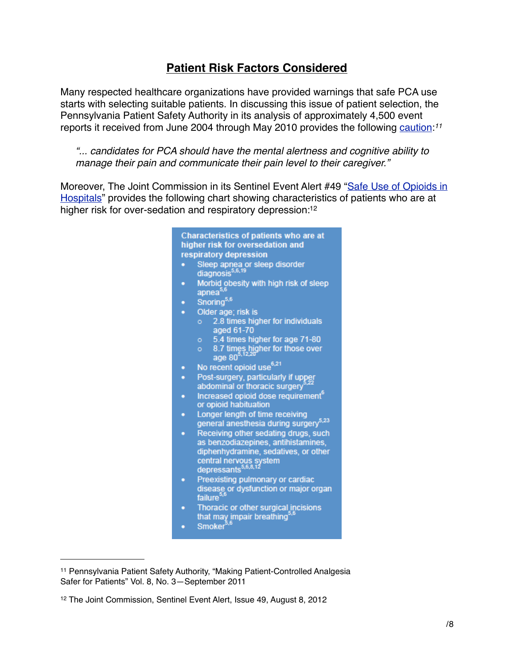# **Patient Risk Factors Considered**

Many respected healthcare organizations have provided warnings that safe PCA use starts with selecting suitable patients. In discussing this issue of patient selection, the Pennsylvania Patient Safety Authority in its analysis of approximately 4,500 event reports it received from June 2004 through May 2010 provides the following [caution:](http://patientsafetyauthority.org/ADVISORIES/AdvisoryLibrary/2011/sep8(3)/Pages/94.aspx) *[11](#page-7-0)*

*"... candidates for PCA should have the mental alertness and cognitive ability to manage their pain and communicate their pain level to their caregiver."*

Moreover, The Joint Commission in its Sentinel Event Alert #49 "[Safe Use of Opioids in](http://www.jointcommission.org/assets/1/18/SEA_49_opioids_8_2_12_final.pdf)  [Hospitals](http://www.jointcommission.org/assets/1/18/SEA_49_opioids_8_2_12_final.pdf)" provides the following chart showing characteristics of patients who are at higher risk for over-sedation and respiratory depression:<sup>12</sup>



<span id="page-7-0"></span><sup>11</sup> Pennsylvania Patient Safety Authority, "Making Patient-Controlled Analgesia Safer for Patients" Vol. 8, No. 3—September 2011

<span id="page-7-1"></span><sup>12</sup> The Joint Commission, Sentinel Event Alert, Issue 49, August 8, 2012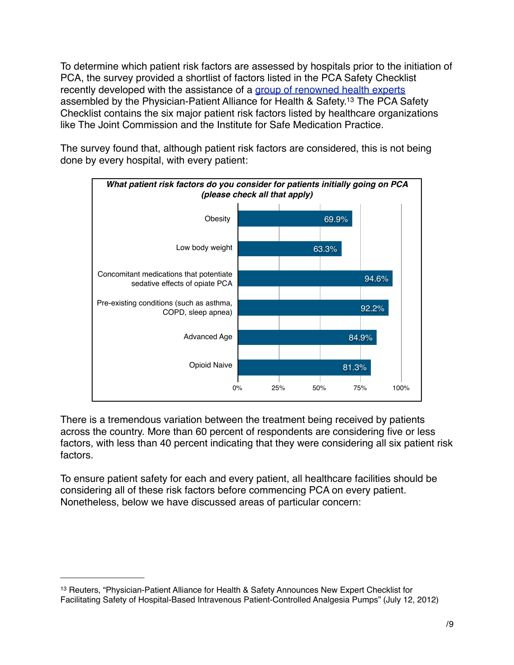To determine which patient risk factors are assessed by hospitals prior to the initiation of PCA, the survey provided a shortlist of factors listed in the PCA Safety Checklist recently developed with the assistance of a [group of renowned health experts](http://www.reuters.com/article/2012/07/17/idUS137854+17-Jul-2012+PRN20120717) assembled by the Physician-Patient Alliance for Health & Safety[.13](#page-8-0) The PCA Safety Checklist contains the six major patient risk factors listed by healthcare organizations like The Joint Commission and the Institute for Safe Medication Practice.

The survey found that, although patient risk factors are considered, this is not being done by every hospital, with every patient:



There is a tremendous variation between the treatment being received by patients across the country. More than 60 percent of respondents are considering five or less factors, with less than 40 percent indicating that they were considering all six patient risk factors.

To ensure patient safety for each and every patient, all healthcare facilities should be considering all of these risk factors before commencing PCA on every patient. Nonetheless, below we have discussed areas of particular concern:

<span id="page-8-0"></span><sup>13</sup> Reuters, "Physician-Patient Alliance for Health & Safety Announces New Expert Checklist for Facilitating Safety of Hospital-Based Intravenous Patient-Controlled Analgesia Pumps" (July 12, 2012)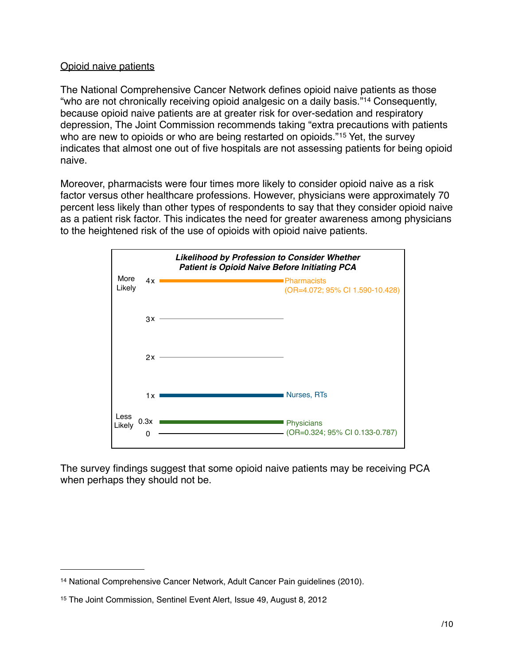#### Opioid naive patients

The National Comprehensive Cancer Network defines opioid naive patients as those "who are not chronically receiving opioid analgesic on a daily basis."[14](#page-9-0) Consequently, because opioid naive patients are at greater risk for over-sedation and respiratory depression, The Joint Commission recommends taking "extra precautions with patients who are new to opioids or who are being restarted on opioids."<sup>[15](#page-9-1)</sup> Yet, the survey indicates that almost one out of five hospitals are not assessing patients for being opioid naive.

Moreover, pharmacists were four times more likely to consider opioid naive as a risk factor versus other healthcare professions. However, physicians were approximately 70 percent less likely than other types of respondents to say that they consider opioid naive as a patient risk factor. This indicates the need for greater awareness among physicians to the heightened risk of the use of opioids with opioid naive patients.



The survey findings suggest that some opioid naive patients may be receiving PCA when perhaps they should not be.

<span id="page-9-0"></span><sup>14</sup> National Comprehensive Cancer Network, Adult Cancer Pain guidelines (2010).

<span id="page-9-1"></span><sup>15</sup> The Joint Commission, Sentinel Event Alert, Issue 49, August 8, 2012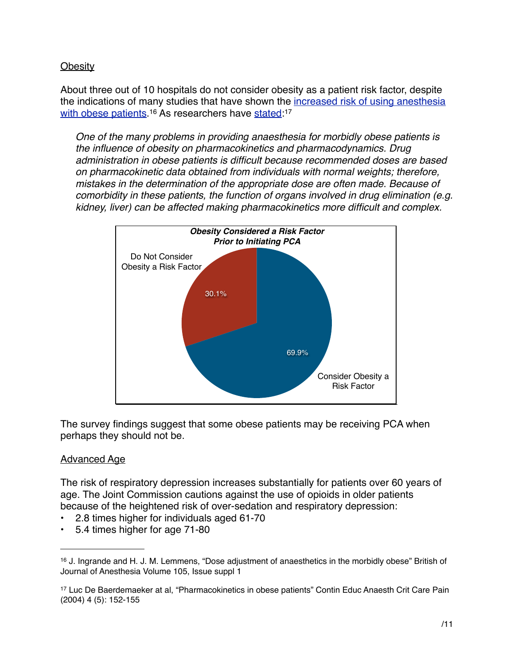#### **Obesity**

About three out of 10 hospitals do not consider obesity as a patient risk factor, despite the indications of many studies that have shown the increased risk of using anesthesia [with obese patients.](http://bja.oxfordjournals.org/content/105/suppl_1/i16.long)<sup>16</sup> As researchers have [stated:](http://ceaccp.oxfordjournals.org/content/4/5/152.full)<sup>[17](#page-10-1)</sup>

*One of the many problems in providing anaesthesia for morbidly obese patients is the influence of obesity on pharmacokinetics and pharmacodynamics. Drug administration in obese patients is difficult because recommended doses are based on pharmacokinetic data obtained from individuals with normal weights; therefore, mistakes in the determination of the appropriate dose are often made. Because of comorbidity in these patients, the function of organs involved in drug elimination (e.g. kidney, liver) can be affected making pharmacokinetics more difficult and complex.*



The survey findings suggest that some obese patients may be receiving PCA when perhaps they should not be.

#### Advanced Age

The risk of respiratory depression increases substantially for patients over 60 years of age. The Joint Commission cautions against the use of opioids in older patients because of the heightened risk of over-sedation and respiratory depression:

- 2.8 times higher for individuals aged 61-70
- 5.4 times higher for age 71-80

<span id="page-10-0"></span><sup>16</sup> J. Ingrande and H. J. M. Lemmens, "Dose adjustment of anaesthetics in the morbidly obese" British of Journal of Anesthesia Volume 105, Issue suppl 1

<span id="page-10-1"></span><sup>17</sup> Luc De Baerdemaeker at al, "Pharmacokinetics in obese patients" Contin Educ Anaesth Crit Care Pain (2004) 4 (5): 152-155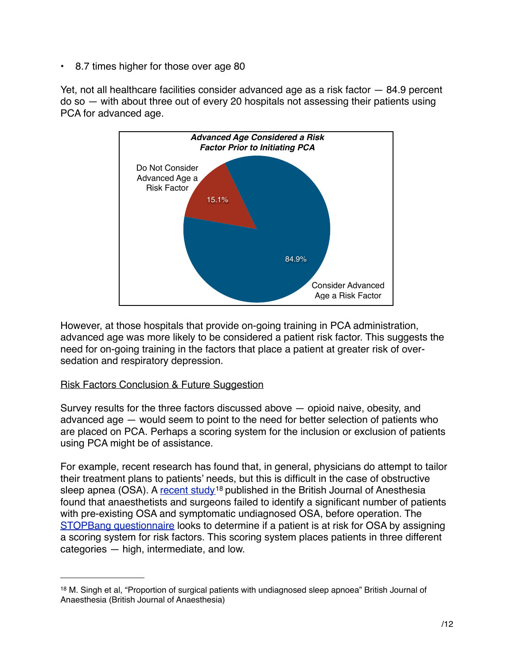• 8.7 times higher for those over age 80

Yet, not all healthcare facilities consider advanced age as a risk factor — 84.9 percent do so — with about three out of every 20 hospitals not assessing their patients using PCA for advanced age.



However, at those hospitals that provide on-going training in PCA administration, advanced age was more likely to be considered a patient risk factor. This suggests the need for on-going training in the factors that place a patient at greater risk of oversedation and respiratory depression.

#### Risk Factors Conclusion & Future Suggestion

Survey results for the three factors discussed above — opioid naive, obesity, and advanced age — would seem to point to the need for better selection of patients who are placed on PCA. Perhaps a scoring system for the inclusion or exclusion of patients using PCA might be of assistance.

For example, recent research has found that, in general, physicians do attempt to tailor their treatment plans to patients' needs, but this is difficult in the case of obstructive sleep apnea (OSA). A [recent study](http://www.stopbang.ca/pdf/pub001.pdf)<sup>[18](#page-11-0)</sup> published in the British Journal of Anesthesia found that anaesthetists and surgeons failed to identify a significant number of patients with pre-existing OSA and symptomatic undiagnosed OSA, before operation. The [STOPBang questionnaire](http://stopbang.ca/osa.php%23screen) looks to determine if a patient is at risk for OSA by assigning a scoring system for risk factors. This scoring system places patients in three different categories — high, intermediate, and low.

<span id="page-11-0"></span><sup>&</sup>lt;sup>18</sup> M. Singh et al, "Proportion of surgical patients with undiagnosed sleep apnoea" British Journal of Anaesthesia (British Journal of Anaesthesia)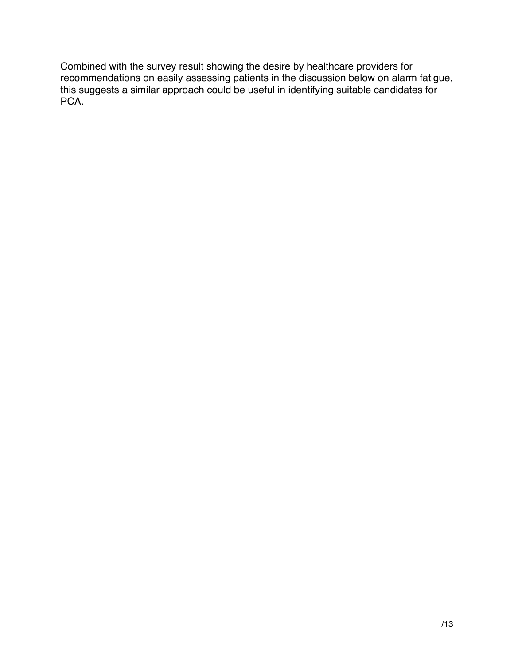Combined with the survey result showing the desire by healthcare providers for recommendations on easily assessing patients in the discussion below on alarm fatigue, this suggests a similar approach could be useful in identifying suitable candidates for PCA.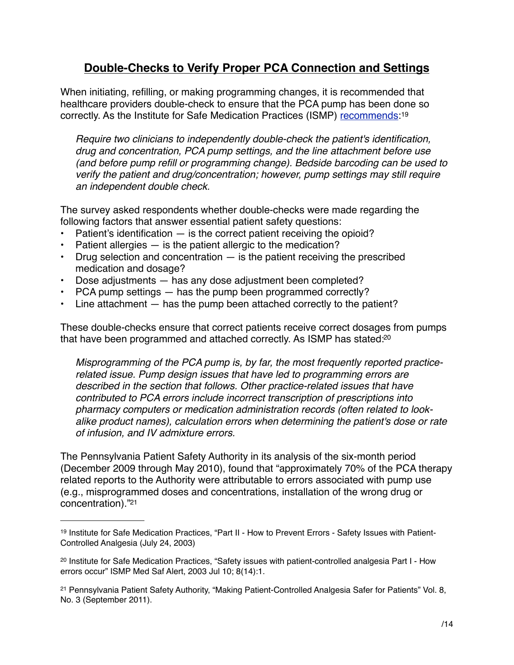# **Double-Checks to Verify Proper PCA Connection and Settings**

When initiating, refilling, or making programming changes, it is recommended that healthcare providers double-check to ensure that the PCA pump has been done so correctly. As the Institute for Safe Medication Practices (ISMP) [recommends:](http://www.ismp.org/newsletters/acutecare/articles/20030724.asp)[19](#page-13-0)

*Require two clinicians to independently double-check the patient's identification, drug and concentration, PCA pump settings, and the line attachment before use (and before pump refill or programming change). Bedside barcoding can be used to verify the patient and drug/concentration; however, pump settings may still require an independent double check.*

The survey asked respondents whether double-checks were made regarding the following factors that answer essential patient safety questions:

- Patient's identification  $-$  is the correct patient receiving the opioid?
- Patient allergies is the patient allergic to the medication?
- Drug selection and concentration is the patient receiving the prescribed medication and dosage?
- Dose adjustments has any dose adjustment been completed?
- PCA pump settings has the pump been programmed correctly?
- Line attachment  $-$  has the pump been attached correctly to the patient?

These double-checks ensure that correct patients receive correct dosages from pumps that have been programmed and attached correctly. As ISMP has stated[:20](#page-13-1)

*Misprogramming of the PCA pump is, by far, the most frequently reported practicerelated issue. Pump design issues that have led to programming errors are described in the section that follows. Other practice-related issues that have contributed to PCA errors include incorrect transcription of prescriptions into pharmacy computers or medication administration records (often related to lookalike product names), calculation errors when determining the patient's dose or rate of infusion, and IV admixture errors.* 

The Pennsylvania Patient Safety Authority in its analysis of the six-month period (December 2009 through May 2010), found that "approximately 70% of the PCA therapy related reports to the Authority were attributable to errors associated with pump use (e.g., misprogrammed doses and concentrations, installation of the wrong drug or concentration).["21](#page-13-2)

<span id="page-13-0"></span><sup>19</sup> Institute for Safe Medication Practices, "Part II - How to Prevent Errors - Safety Issues with Patient-Controlled Analgesia (July 24, 2003)

<span id="page-13-1"></span><sup>20</sup> Institute for Safe Medication Practices, "Safety issues with patient-controlled analgesia Part I - How errors occur" ISMP Med Saf Alert, 2003 Jul 10; 8(14):1.

<span id="page-13-2"></span><sup>21</sup> Pennsylvania Patient Safety Authority, "Making Patient-Controlled Analgesia Safer for Patients" Vol. 8, No. 3 (September 2011).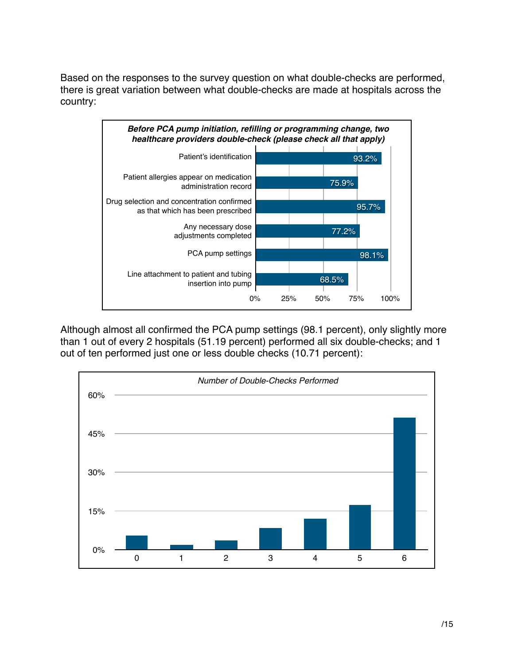Based on the responses to the survey question on what double-checks are performed, there is great variation between what double-checks are made at hospitals across the country:



Although almost all confirmed the PCA pump settings (98.1 percent), only slightly more than 1 out of every 2 hospitals (51.19 percent) performed all six double-checks; and 1 out of ten performed just one or less double checks (10.71 percent):

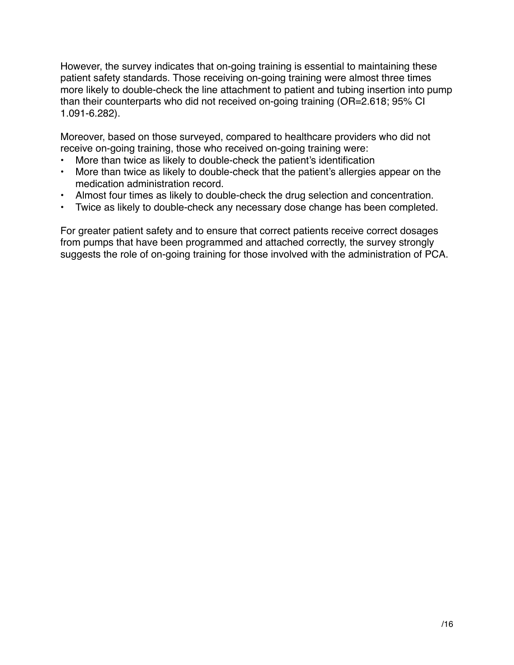However, the survey indicates that on-going training is essential to maintaining these patient safety standards. Those receiving on-going training were almost three times more likely to double-check the line attachment to patient and tubing insertion into pump than their counterparts who did not received on-going training (OR=2.618; 95% CI 1.091-6.282).

Moreover, based on those surveyed, compared to healthcare providers who did not receive on-going training, those who received on-going training were:

- More than twice as likely to double-check the patient's identification
- More than twice as likely to double-check that the patient's allergies appear on the medication administration record.
- Almost four times as likely to double-check the drug selection and concentration.
- Twice as likely to double-check any necessary dose change has been completed.

For greater patient safety and to ensure that correct patients receive correct dosages from pumps that have been programmed and attached correctly, the survey strongly suggests the role of on-going training for those involved with the administration of PCA.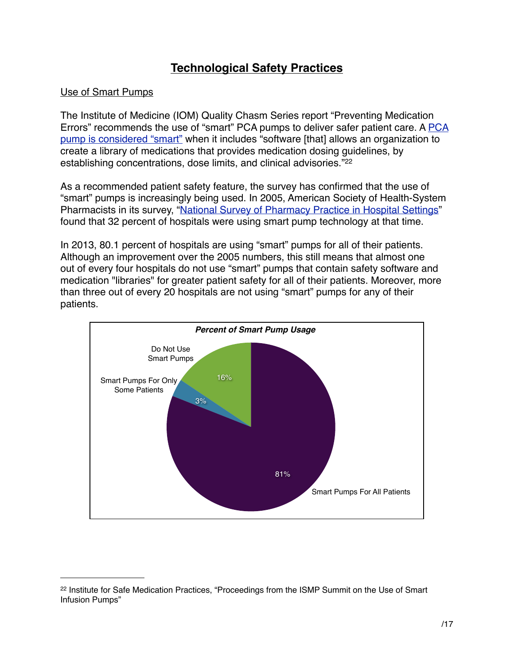# **Technological Safety Practices**

#### Use of Smart Pumps

The Institute of Medicine (IOM) Quality Chasm Series report "Preventing Medication Errors" recommends the use of "smart" PCA pumps to deliver safer patient care. A [PCA](http://www.ismp.org/tools/guidelines/smartpumps/)  [pump is considered "smart"](http://www.ismp.org/tools/guidelines/smartpumps/) when it includes "software [that] allows an organization to create a library of medications that provides medication dosing guidelines, by establishing concentrations, dose limits, and clinical advisories."<sup>[22](#page-16-0)</sup>

As a recommended patient safety feature, the survey has confirmed that the use of "smart" pumps is increasingly being used. In 2005, American Society of Health-System Pharmacists in its survey, ["National Survey of Pharmacy Practice in Hospital Settings"](http://www.ajhp.org/content/63/4/327) found that 32 percent of hospitals were using smart pump technology at that time.

In 2013, 80.1 percent of hospitals are using "smart" pumps for all of their patients. Although an improvement over the 2005 numbers, this still means that almost one out of every four hospitals do not use "smart" pumps that contain safety software and medication "libraries" for greater patient safety for all of their patients. Moreover, more than three out of every 20 hospitals are not using "smart" pumps for any of their patients.



<span id="page-16-0"></span><sup>22</sup> Institute for Safe Medication Practices, "Proceedings from the ISMP Summit on the Use of Smart Infusion Pumps"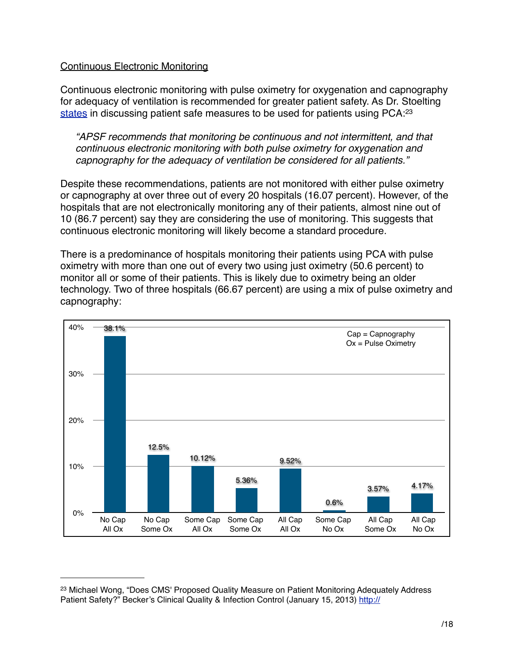#### Continuous Electronic Monitoring

Continuous electronic monitoring with pulse oximetry for oxygenation and capnography for adequacy of ventilation is recommended for greater patient safety. As Dr. Stoelting [states](http://www.beckershospitalreview.com/quality/does-cms-proposed-quality-measure-on-patient-monitoring-adequately-address-patient-safety.html) in discussing patient safe measures to be used for patients using PCA:[23](#page-17-0)

*"APSF recommends that monitoring be continuous and not intermittent, and that continuous electronic monitoring with both pulse oximetry for oxygenation and capnography for the adequacy of ventilation be considered for all patients."*

Despite these recommendations, patients are not monitored with either pulse oximetry or capnography at over three out of every 20 hospitals (16.07 percent). However, of the hospitals that are not electronically monitoring any of their patients, almost nine out of 10 (86.7 percent) say they are considering the use of monitoring. This suggests that continuous electronic monitoring will likely become a standard procedure.

There is a predominance of hospitals monitoring their patients using PCA with pulse oximetry with more than one out of every two using just oximetry (50.6 percent) to monitor all or some of their patients. This is likely due to oximetry being an older technology. Two of three hospitals (66.67 percent) are using a mix of pulse oximetry and capnography:



<span id="page-17-0"></span><sup>&</sup>lt;sup>23</sup> Michael Wong, "Does CMS' Proposed Quality Measure on Patient Monitoring Adequately Address Patient Safety?" Becker's Clinical Quality & Infection Control (January 15, 2013) [http://](http://www.beckershospitalreview.com/quality/does-cms-proposed-quality-measure-on-patient-monitoring-adequately-address-patient-safety.html)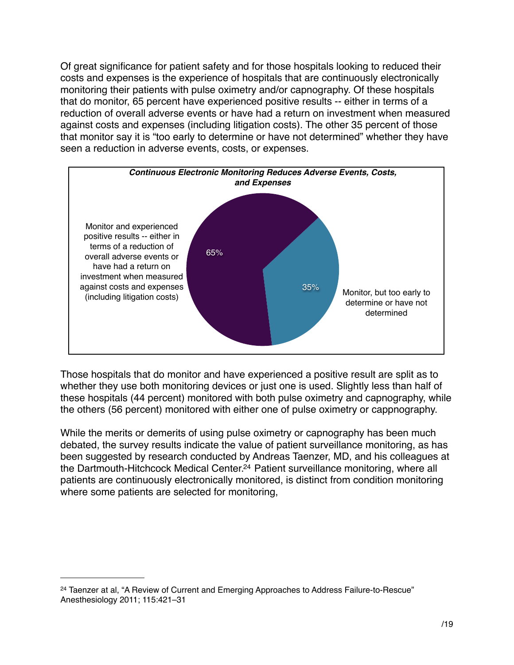Of great significance for patient safety and for those hospitals looking to reduced their costs and expenses is the experience of hospitals that are continuously electronically monitoring their patients with pulse oximetry and/or capnography. Of these hospitals that do monitor, 65 percent have experienced positive results -- either in terms of a reduction of overall adverse events or have had a return on investment when measured against costs and expenses (including litigation costs). The other 35 percent of those that monitor say it is "too early to determine or have not determined" whether they have seen a reduction in adverse events, costs, or expenses.



Those hospitals that do monitor and have experienced a positive result are split as to whether they use both monitoring devices or just one is used. Slightly less than half of these hospitals (44 percent) monitored with both pulse oximetry and capnography, while the others (56 percent) monitored with either one of pulse oximetry or cappnography.

While the merits or demerits of using pulse oximetry or capnography has been much debated, the survey results indicate the value of patient surveillance monitoring, as has been suggested by research conducted by Andreas Taenzer, MD, and his colleagues at the Dartmouth-Hitchcock Medical Center[.24](#page-18-0) Patient surveillance monitoring, where all patients are continuously electronically monitored, is distinct from condition monitoring where some patients are selected for monitoring,

<span id="page-18-0"></span><sup>&</sup>lt;sup>24</sup> Taenzer at al, "A Review of Current and Emerging Approaches to Address Failure-to-Rescue" Anesthesiology 2011; 115:421–31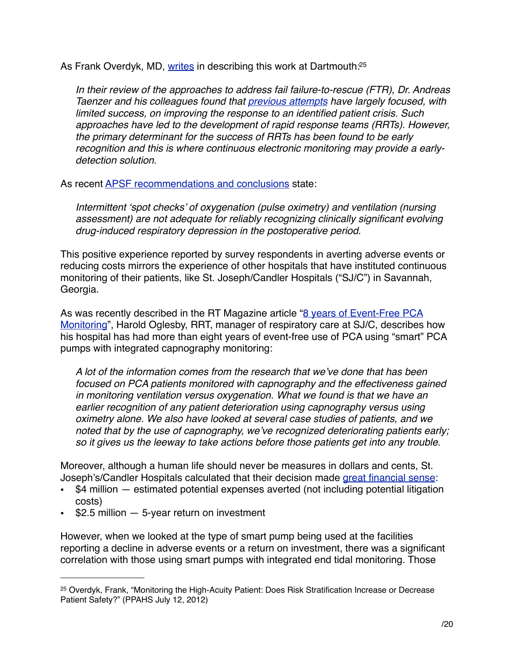As Frank Overdyk, MD, [writes](http://ppahs.org/2012/07/12/monitoring-the-high-acuity-patient-does-risk-stratification-increase-or-decrease-patient-safety/) in describing this work at Dartmouth:<sup>25</sup>

*In their review of the approaches to address fail failure-to-rescue (FTR), Dr. Andreas Taenzer and his colleagues found that [previous attempts](http://journals.lww.com/anesthesiology/Fulltext/2011/08000/A_Review_of_Current_and_Emerging_Approaches_to.33.aspx) have largely focused, with limited success, on improving the response to an identified patient crisis. Such approaches have led to the development of rapid response teams (RRTs). However, the primary determinant for the success of RRTs has been found to be early recognition and this is where continuous electronic monitoring may provide a earlydetection solution.*

As recent [APSF recommendations and conclusions](http://www.apsf.org/announcements.php?id=7) state:

*Intermittent 'spot checks' of oxygenation (pulse oximetry) and ventilation (nursing assessment) are not adequate for reliably recognizing clinically significant evolving drug-induced respiratory depression in the postoperative period.*

This positive experience reported by survey respondents in averting adverse events or reducing costs mirrors the experience of other hospitals that have instituted continuous monitoring of their patients, like St. Joseph/Candler Hospitals ("SJ/C") in Savannah, Georgia.

As was recently described in the RT Magazine article "8 years of Event-Free PCA [Monitoring](http://www.rtmagazine.com/clinical/18620-8-years-of-of-event-free-pca-monitoring)", Harold Oglesby, RRT, manager of respiratory care at SJ/C, describes how his hospital has had more than eight years of event-free use of PCA using "smart" PCA pumps with integrated capnography monitoring:

*A lot of the information comes from the research that we've done that has been focused on PCA patients monitored with capnography and the effectiveness gained in monitoring ventilation versus oxygenation. What we found is that we have an earlier recognition of any patient deterioration using capnography versus using oximetry alone. We also have looked at several case studies of patients, and we noted that by the use of capnography, we've recognized deteriorating patients early; so it gives us the leeway to take actions before those patients get into any trouble.*

Moreover, although a human life should never be measures in dollars and cents, St. Joseph's/Candler Hospitals calculated that their decision made [great financial sense:](http://www.apsf.org/newsletters/pdf/winter_2012.pdf)

- \$4 million estimated potential expenses averted (not including potential litigation costs)
- $$2.5$  million  $-5$ -year return on investment

However, when we looked at the type of smart pump being used at the facilities reporting a decline in adverse events or a return on investment, there was a significant correlation with those using smart pumps with integrated end tidal monitoring. Those

<span id="page-19-0"></span><sup>25</sup> Overdyk, Frank, "Monitoring the High-Acuity Patient: Does Risk Stratification Increase or Decrease Patient Safety?" (PPAHS July 12, 2012)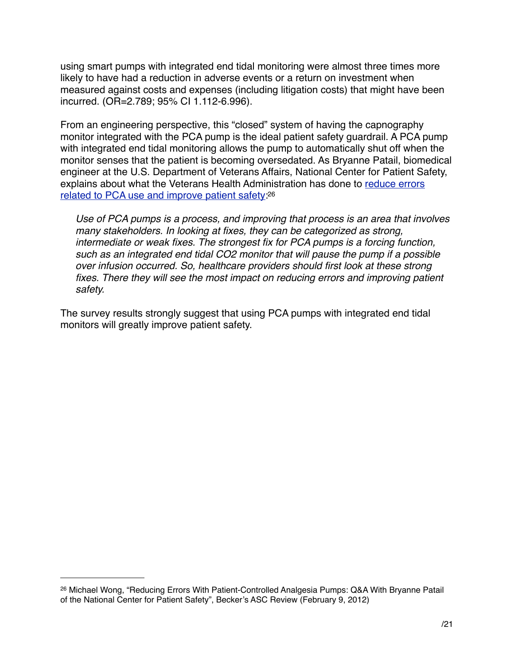using smart pumps with integrated end tidal monitoring were almost three times more likely to have had a reduction in adverse events or a return on investment when measured against costs and expenses (including litigation costs) that might have been incurred. (OR=2.789; 95% CI 1.112-6.996).

From an engineering perspective, this "closed" system of having the capnography monitor integrated with the PCA pump is the ideal patient safety guardrail. A PCA pump with integrated end tidal monitoring allows the pump to automatically shut off when the monitor senses that the patient is becoming oversedated. As Bryanne Patail, biomedical engineer at the U.S. Department of Veterans Affairs, National Center for Patient Safety, explains about what the Veterans Health Administration has done to reduce errors [related to PCA use and improve patient safety](http://www.beckersasc.com/asc-accreditation-and-patient-safety/reducing-errors-with-patient-controlled-analgesia-pumps-qaa-with-bryanne-patail-of-the-national-center-for-patient-safety.html): [26](#page-20-0)

*Use of PCA pumps is a process, and improving that process is an area that involves many stakeholders. In looking at fixes, they can be categorized as strong, intermediate or weak fixes. The strongest fix for PCA pumps is a forcing function, such as an integrated end tidal CO2 monitor that will pause the pump if a possible over infusion occurred. So, healthcare providers should first look at these strong*  fixes. There they will see the most impact on reducing errors and improving patient *safety.*

The survey results strongly suggest that using PCA pumps with integrated end tidal monitors will greatly improve patient safety.

<span id="page-20-0"></span><sup>26</sup> Michael Wong, "Reducing Errors With Patient-Controlled Analgesia Pumps: Q&A With Bryanne Patail of the National Center for Patient Safety", Becker's ASC Review (February 9, 2012)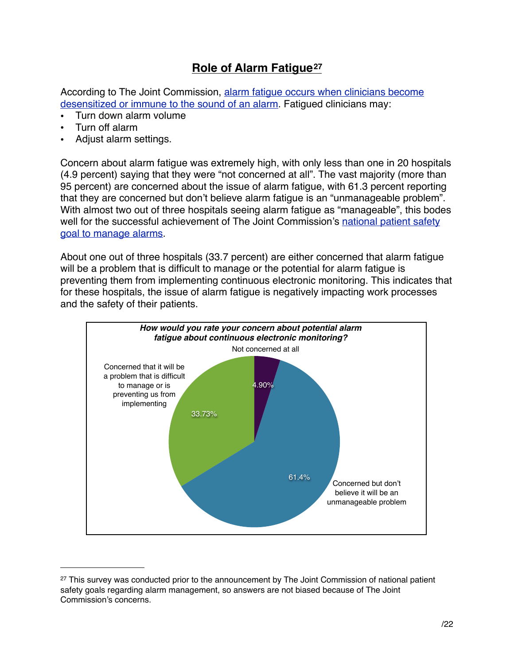# **Role of Alarm Fatigue[27](#page-21-0)**

According to The Joint Commission, [alarm fatigue occurs when clinicians become](http://www.jointcommission.org/assets/1/18/SEA_50_alarms_4_5_13_FINAL1.PDF)  [desensitized or immune to the sound of an alarm](http://www.jointcommission.org/assets/1/18/SEA_50_alarms_4_5_13_FINAL1.PDF). Fatigued clinicians may:

- Turn down alarm volume
- Turn off alarm
- Adjust alarm settings.

Concern about alarm fatigue was extremely high, with only less than one in 20 hospitals (4.9 percent) saying that they were "not concerned at all". The vast majority (more than 95 percent) are concerned about the issue of alarm fatigue, with 61.3 percent reporting that they are concerned but don't believe alarm fatigue is an "unmanageable problem". With almost two out of three hospitals seeing alarm fatigue as "manageable", this bodes well for the successful achievement of The Joint Commission's national patient safety [goal to manage alarms](http://www.jointcommission.org/new_joint_commission_alert_addresses_medical_device_alarm_safety_in_hospitals/).

About one out of three hospitals (33.7 percent) are either concerned that alarm fatigue will be a problem that is difficult to manage or the potential for alarm fatigue is preventing them from implementing continuous electronic monitoring. This indicates that for these hospitals, the issue of alarm fatigue is negatively impacting work processes and the safety of their patients.



<span id="page-21-0"></span><sup>&</sup>lt;sup>27</sup> This survey was conducted prior to the announcement by The Joint Commission of national patient safety goals regarding alarm management, so answers are not biased because of The Joint Commission's concerns.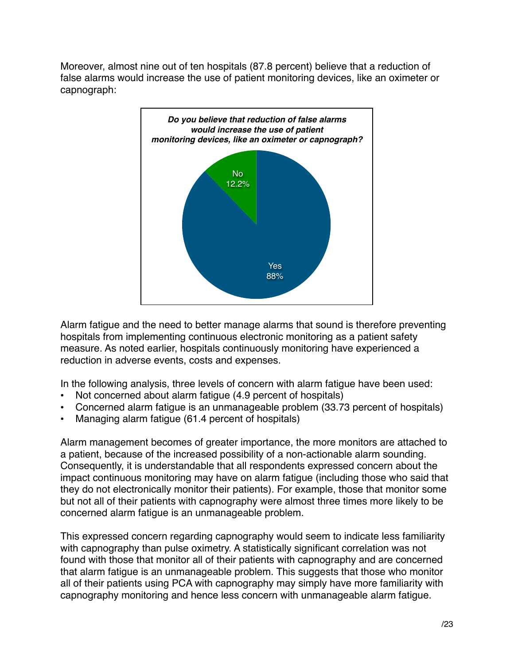Moreover, almost nine out of ten hospitals (87.8 percent) believe that a reduction of false alarms would increase the use of patient monitoring devices, like an oximeter or capnograph:



Alarm fatigue and the need to better manage alarms that sound is therefore preventing hospitals from implementing continuous electronic monitoring as a patient safety measure. As noted earlier, hospitals continuously monitoring have experienced a reduction in adverse events, costs and expenses.

In the following analysis, three levels of concern with alarm fatigue have been used:

- Not concerned about alarm fatigue (4.9 percent of hospitals)
- Concerned alarm fatigue is an unmanageable problem (33.73 percent of hospitals)
- Managing alarm fatigue (61.4 percent of hospitals)

Alarm management becomes of greater importance, the more monitors are attached to a patient, because of the increased possibility of a non-actionable alarm sounding. Consequently, it is understandable that all respondents expressed concern about the impact continuous monitoring may have on alarm fatigue (including those who said that they do not electronically monitor their patients). For example, those that monitor some but not all of their patients with capnography were almost three times more likely to be concerned alarm fatigue is an unmanageable problem.

This expressed concern regarding capnography would seem to indicate less familiarity with capnography than pulse oximetry. A statistically significant correlation was not found with those that monitor all of their patients with capnography and are concerned that alarm fatigue is an unmanageable problem. This suggests that those who monitor all of their patients using PCA with capnography may simply have more familiarity with capnography monitoring and hence less concern with unmanageable alarm fatigue.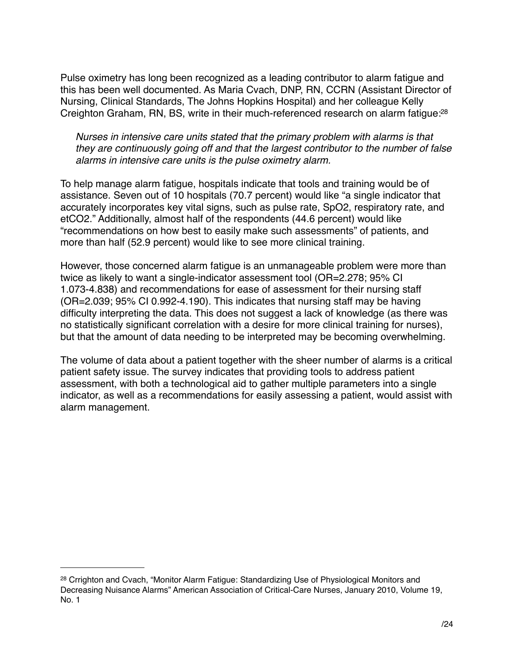Pulse oximetry has long been recognized as a leading contributor to alarm fatigue and this has been well documented. As Maria Cvach, DNP, RN, CCRN (Assistant Director of Nursing, Clinical Standards, The Johns Hopkins Hospital) and her colleague Kelly Creighton Graham, RN, BS, write in their much-referenced research on alarm fatigue[:28](#page-23-0)

*Nurses in intensive care units stated that the primary problem with alarms is that they are continuously going off and that the largest contributor to the number of false alarms in intensive care units is the pulse oximetry alarm.*

To help manage alarm fatigue, hospitals indicate that tools and training would be of assistance. Seven out of 10 hospitals (70.7 percent) would like "a single indicator that accurately incorporates key vital signs, such as pulse rate, SpO2, respiratory rate, and etCO2." Additionally, almost half of the respondents (44.6 percent) would like "recommendations on how best to easily make such assessments" of patients, and more than half (52.9 percent) would like to see more clinical training.

However, those concerned alarm fatigue is an unmanageable problem were more than twice as likely to want a single-indicator assessment tool (OR=2.278; 95% CI 1.073-4.838) and recommendations for ease of assessment for their nursing staff (OR=2.039; 95% CI 0.992-4.190). This indicates that nursing staff may be having difficulty interpreting the data. This does not suggest a lack of knowledge (as there was no statistically significant correlation with a desire for more clinical training for nurses), but that the amount of data needing to be interpreted may be becoming overwhelming.

The volume of data about a patient together with the sheer number of alarms is a critical patient safety issue. The survey indicates that providing tools to address patient assessment, with both a technological aid to gather multiple parameters into a single indicator, as well as a recommendations for easily assessing a patient, would assist with alarm management.

<span id="page-23-0"></span><sup>28</sup> Crrighton and Cvach, "Monitor Alarm Fatigue: Standardizing Use of Physiological Monitors and Decreasing Nuisance Alarms" American Association of Critical-Care Nurses, January 2010, Volume 19, No. 1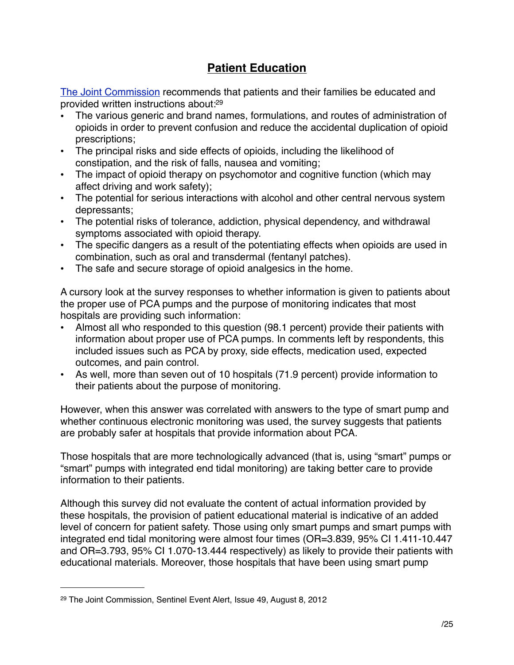# **Patient Education**

[The Joint Commission](http://www.jointcommission.org/assets/1/18/SEA_49_opioids_8_2_12_final.pdf) recommends that patients and their families be educated and provided written instructions about[:29](#page-24-0)

- The various generic and brand names, formulations, and routes of administration of opioids in order to prevent confusion and reduce the accidental duplication of opioid prescriptions;
- The principal risks and side effects of opioids, including the likelihood of constipation, and the risk of falls, nausea and vomiting;
- The impact of opioid therapy on psychomotor and cognitive function (which may affect driving and work safety);
- The potential for serious interactions with alcohol and other central nervous system depressants;
- The potential risks of tolerance, addiction, physical dependency, and withdrawal symptoms associated with opioid therapy.
- The specific dangers as a result of the potentiating effects when opioids are used in combination, such as oral and transdermal (fentanyl patches).
- The safe and secure storage of opioid analgesics in the home.

A cursory look at the survey responses to whether information is given to patients about the proper use of PCA pumps and the purpose of monitoring indicates that most hospitals are providing such information:

- Almost all who responded to this question (98.1 percent) provide their patients with information about proper use of PCA pumps. In comments left by respondents, this included issues such as PCA by proxy, side effects, medication used, expected outcomes, and pain control.
- As well, more than seven out of 10 hospitals (71.9 percent) provide information to their patients about the purpose of monitoring.

However, when this answer was correlated with answers to the type of smart pump and whether continuous electronic monitoring was used, the survey suggests that patients are probably safer at hospitals that provide information about PCA.

Those hospitals that are more technologically advanced (that is, using "smart" pumps or "smart" pumps with integrated end tidal monitoring) are taking better care to provide information to their patients.

Although this survey did not evaluate the content of actual information provided by these hospitals, the provision of patient educational material is indicative of an added level of concern for patient safety. Those using only smart pumps and smart pumps with integrated end tidal monitoring were almost four times (OR=3.839, 95% CI 1.411-10.447 and OR=3.793, 95% CI 1.070-13.444 respectively) as likely to provide their patients with educational materials. Moreover, those hospitals that have been using smart pump

<span id="page-24-0"></span><sup>29</sup> The Joint Commission, Sentinel Event Alert, Issue 49, August 8, 2012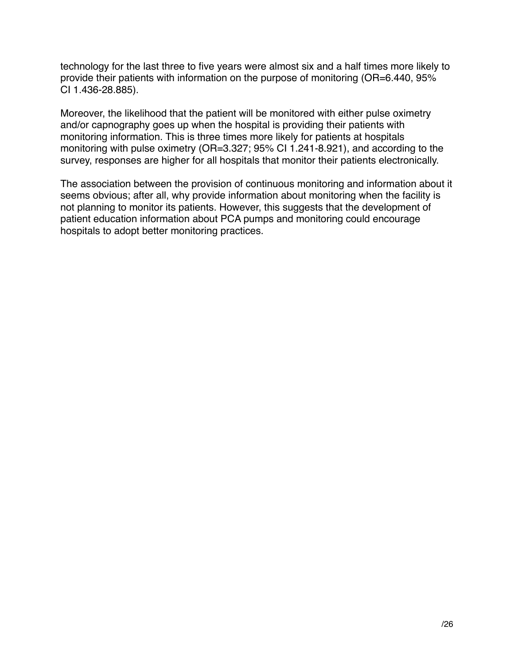technology for the last three to five years were almost six and a half times more likely to provide their patients with information on the purpose of monitoring (OR=6.440, 95% CI 1.436-28.885).

Moreover, the likelihood that the patient will be monitored with either pulse oximetry and/or capnography goes up when the hospital is providing their patients with monitoring information. This is three times more likely for patients at hospitals monitoring with pulse oximetry (OR=3.327; 95% CI 1.241-8.921), and according to the survey, responses are higher for all hospitals that monitor their patients electronically.

The association between the provision of continuous monitoring and information about it seems obvious; after all, why provide information about monitoring when the facility is not planning to monitor its patients. However, this suggests that the development of patient education information about PCA pumps and monitoring could encourage hospitals to adopt better monitoring practices.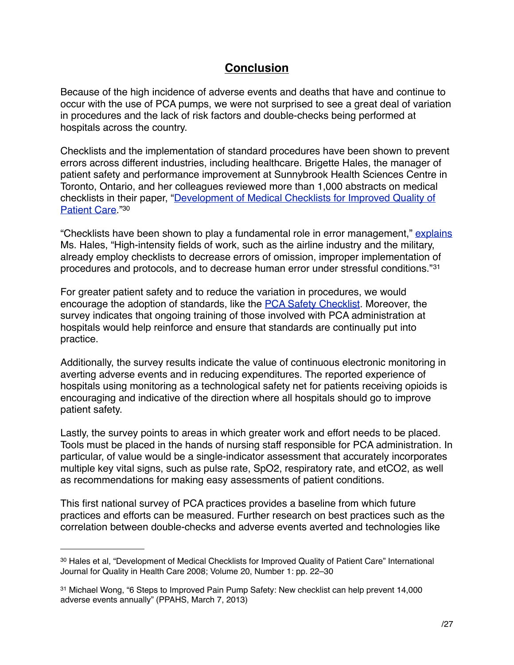# **Conclusion**

Because of the high incidence of adverse events and deaths that have and continue to occur with the use of PCA pumps, we were not surprised to see a great deal of variation in procedures and the lack of risk factors and double-checks being performed at hospitals across the country.

Checklists and the implementation of standard procedures have been shown to prevent errors across different industries, including healthcare. Brigette Hales, the manager of patient safety and performance improvement at Sunnybrook Health Sciences Centre in Toronto, Ontario, and her colleagues reviewed more than 1,000 abstracts on medical checklists in their paper, ["Development of Medical Checklists for Improved Quality of](http://intqhc.oxfordjournals.org/content/20/1/22.full.pdf)  Patient Care<sup>["30](#page-26-0)</sup>

"Checklists have been shown to play a fundamental role in error management," [explains](http://ppahs.org/2013/03/07/6-steps-to-improved-pain-pump-safety-new-checklist-can-help-prevent-the-14000-adverse-events-annually/) Ms. Hales, "High-intensity fields of work, such as the airline industry and the military, already employ checklists to decrease errors of omission, improper implementation of procedures and protocols, and to decrease human error under stressful conditions."[31](#page-26-1)

For greater patient safety and to reduce the variation in procedures, we would encourage the adoption of standards, like the **PCA Safety Checklist**. Moreover, the survey indicates that ongoing training of those involved with PCA administration at hospitals would help reinforce and ensure that standards are continually put into practice.

Additionally, the survey results indicate the value of continuous electronic monitoring in averting adverse events and in reducing expenditures. The reported experience of hospitals using monitoring as a technological safety net for patients receiving opioids is encouraging and indicative of the direction where all hospitals should go to improve patient safety.

Lastly, the survey points to areas in which greater work and effort needs to be placed. Tools must be placed in the hands of nursing staff responsible for PCA administration. In particular, of value would be a single-indicator assessment that accurately incorporates multiple key vital signs, such as pulse rate, SpO2, respiratory rate, and etCO2, as well as recommendations for making easy assessments of patient conditions.

This first national survey of PCA practices provides a baseline from which future practices and efforts can be measured. Further research on best practices such as the correlation between double-checks and adverse events averted and technologies like

<span id="page-26-0"></span><sup>30</sup> Hales et al, "Development of Medical Checklists for Improved Quality of Patient Care" International Journal for Quality in Health Care 2008; Volume 20, Number 1: pp. 22–30

<span id="page-26-1"></span><sup>31</sup> Michael Wong, "6 Steps to Improved Pain Pump Safety: New checklist can help prevent 14,000 adverse events annually" (PPAHS, March 7, 2013)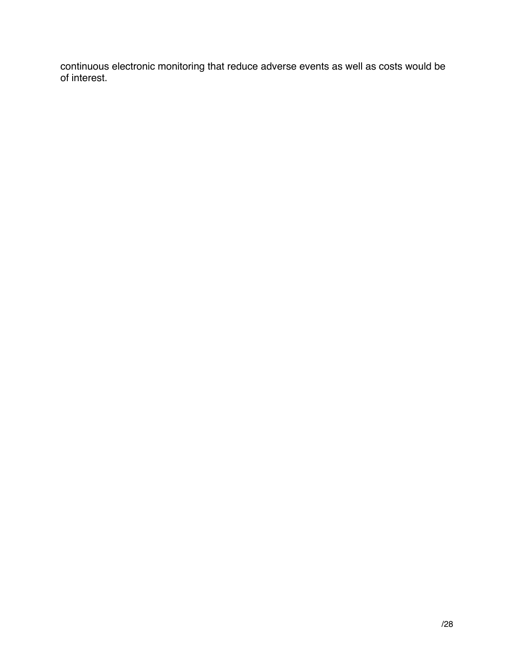continuous electronic monitoring that reduce adverse events as well as costs would be of interest.